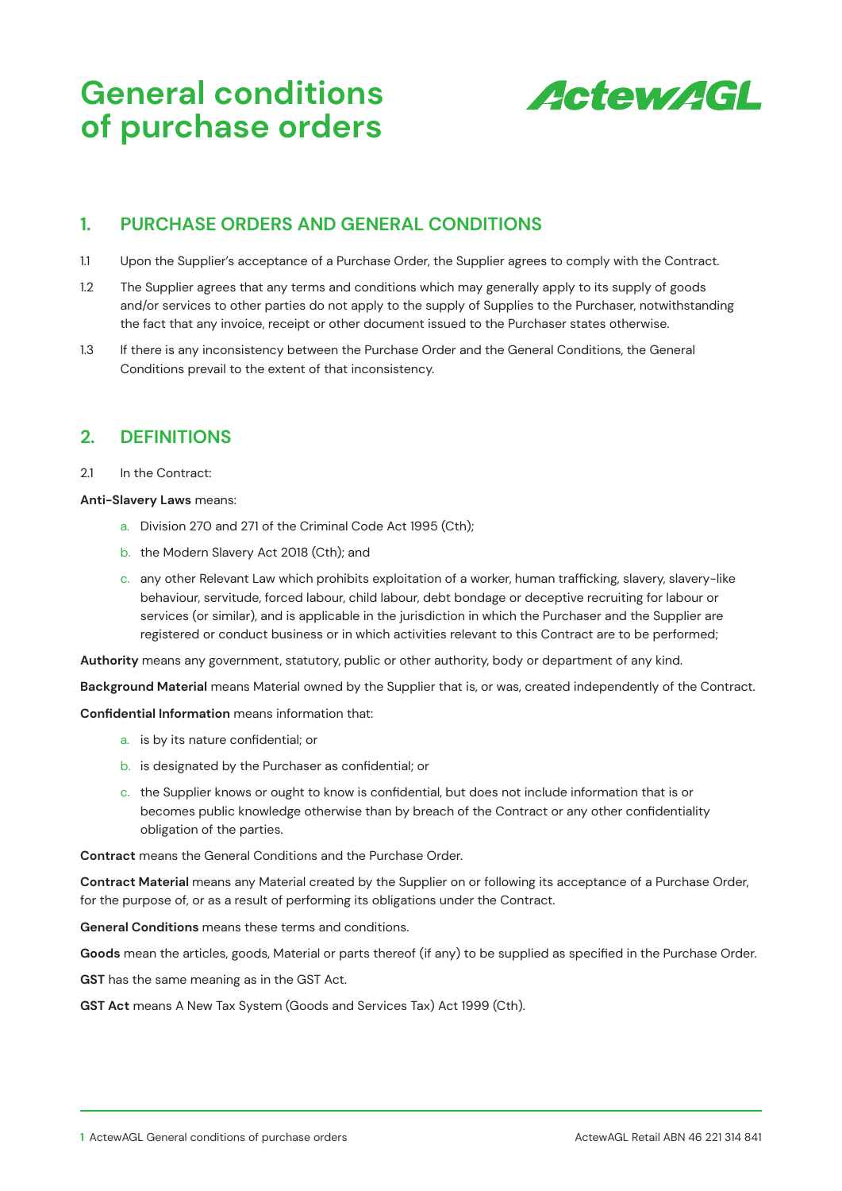

### **1. PURCHASE ORDERS AND GENERAL CONDITIONS**

- 1.1 Upon the Supplier's acceptance of a Purchase Order, the Supplier agrees to comply with the Contract.
- 1.2 The Supplier agrees that any terms and conditions which may generally apply to its supply of goods and/or services to other parties do not apply to the supply of Supplies to the Purchaser, notwithstanding the fact that any invoice, receipt or other document issued to the Purchaser states otherwise.
- 1.3 If there is any inconsistency between the Purchase Order and the General Conditions, the General Conditions prevail to the extent of that inconsistency.

# **2. DEFINITIONS**

#### 2.1 In the Contract:

#### **Anti-Slavery Laws** means:

- a. Division 270 and 271 of the Criminal Code Act 1995 (Cth);
- b. the Modern Slavery Act 2018 (Cth); and
- c. any other Relevant Law which prohibits exploitation of a worker, human trafficking, slavery, slavery-like behaviour, servitude, forced labour, child labour, debt bondage or deceptive recruiting for labour or services (or similar), and is applicable in the jurisdiction in which the Purchaser and the Supplier are registered or conduct business or in which activities relevant to this Contract are to be performed;

**Authority** means any government, statutory, public or other authority, body or department of any kind.

**Background Material** means Material owned by the Supplier that is, or was, created independently of the Contract.

**Confidential Information** means information that:

- a. is by its nature confidential; or
- b. is designated by the Purchaser as confidential; or
- c. the Supplier knows or ought to know is confidential, but does not include information that is or becomes public knowledge otherwise than by breach of the Contract or any other confidentiality obligation of the parties.

**Contract** means the General Conditions and the Purchase Order.

**Contract Material** means any Material created by the Supplier on or following its acceptance of a Purchase Order, for the purpose of, or as a result of performing its obligations under the Contract.

**General Conditions** means these terms and conditions.

**Goods** mean the articles, goods, Material or parts thereof (if any) to be supplied as specified in the Purchase Order.

**GST** has the same meaning as in the GST Act.

**GST Act** means A New Tax System (Goods and Services Tax) Act 1999 (Cth).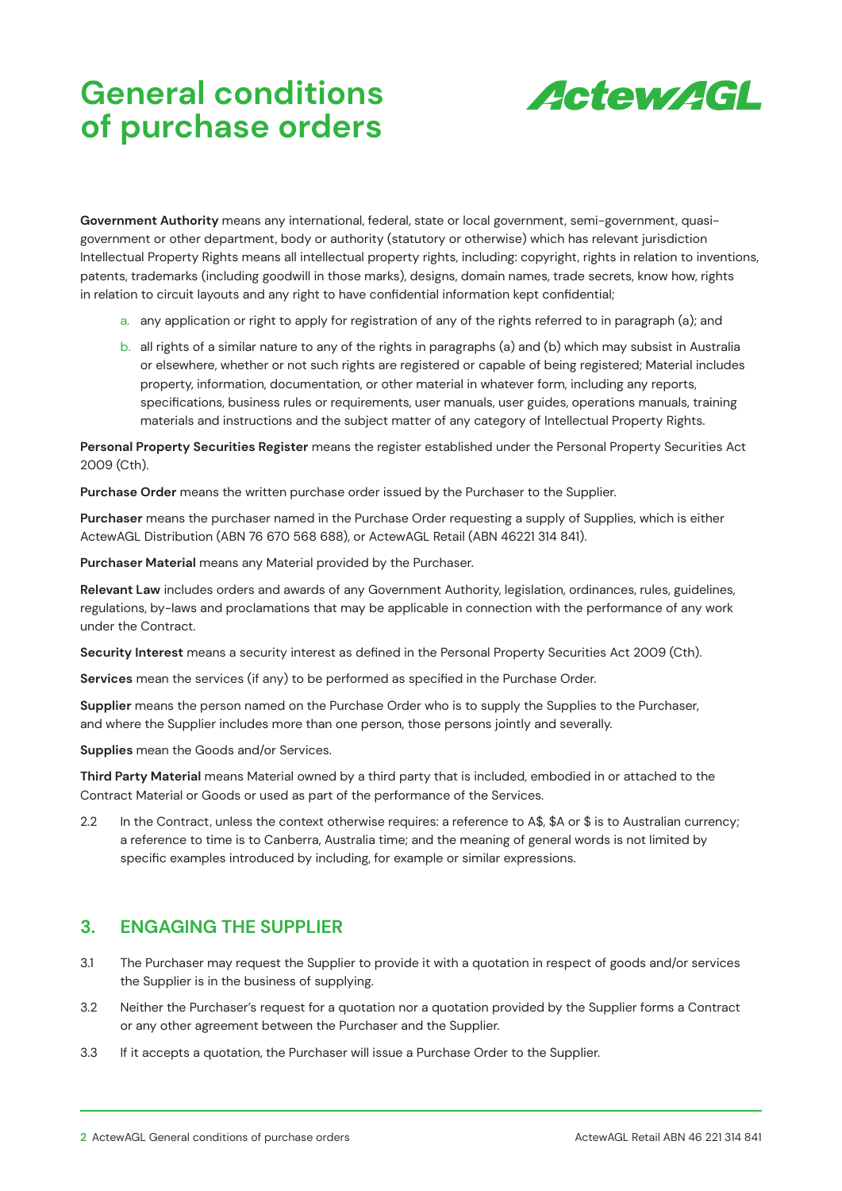

**Government Authority** means any international, federal, state or local government, semi-government, quasigovernment or other department, body or authority (statutory or otherwise) which has relevant jurisdiction Intellectual Property Rights means all intellectual property rights, including: copyright, rights in relation to inventions, patents, trademarks (including goodwill in those marks), designs, domain names, trade secrets, know how, rights in relation to circuit layouts and any right to have confidential information kept confidential;

- a. any application or right to apply for registration of any of the rights referred to in paragraph (a); and
- b. all rights of a similar nature to any of the rights in paragraphs (a) and (b) which may subsist in Australia or elsewhere, whether or not such rights are registered or capable of being registered; Material includes property, information, documentation, or other material in whatever form, including any reports, specifications, business rules or requirements, user manuals, user guides, operations manuals, training materials and instructions and the subject matter of any category of Intellectual Property Rights.

**Personal Property Securities Register** means the register established under the Personal Property Securities Act 2009 (Cth).

**Purchase Order** means the written purchase order issued by the Purchaser to the Supplier.

**Purchaser** means the purchaser named in the Purchase Order requesting a supply of Supplies, which is either ActewAGL Distribution (ABN 76 670 568 688), or ActewAGL Retail (ABN 46221 314 841).

**Purchaser Material** means any Material provided by the Purchaser.

**Relevant Law** includes orders and awards of any Government Authority, legislation, ordinances, rules, guidelines, regulations, by-laws and proclamations that may be applicable in connection with the performance of any work under the Contract.

**Security Interest** means a security interest as defined in the Personal Property Securities Act 2009 (Cth).

**Services** mean the services (if any) to be performed as specified in the Purchase Order.

**Supplier** means the person named on the Purchase Order who is to supply the Supplies to the Purchaser, and where the Supplier includes more than one person, those persons jointly and severally.

**Supplies** mean the Goods and/or Services.

**Third Party Material** means Material owned by a third party that is included, embodied in or attached to the Contract Material or Goods or used as part of the performance of the Services.

2.2 In the Contract, unless the context otherwise requires: a reference to A\$, \$A or \$ is to Australian currency; a reference to time is to Canberra, Australia time; and the meaning of general words is not limited by specific examples introduced by including, for example or similar expressions.

# **3. ENGAGING THE SUPPLIER**

- 3.1 The Purchaser may request the Supplier to provide it with a quotation in respect of goods and/or services the Supplier is in the business of supplying.
- 3.2 Neither the Purchaser's request for a quotation nor a quotation provided by the Supplier forms a Contract or any other agreement between the Purchaser and the Supplier.
- 3.3 If it accepts a quotation, the Purchaser will issue a Purchase Order to the Supplier.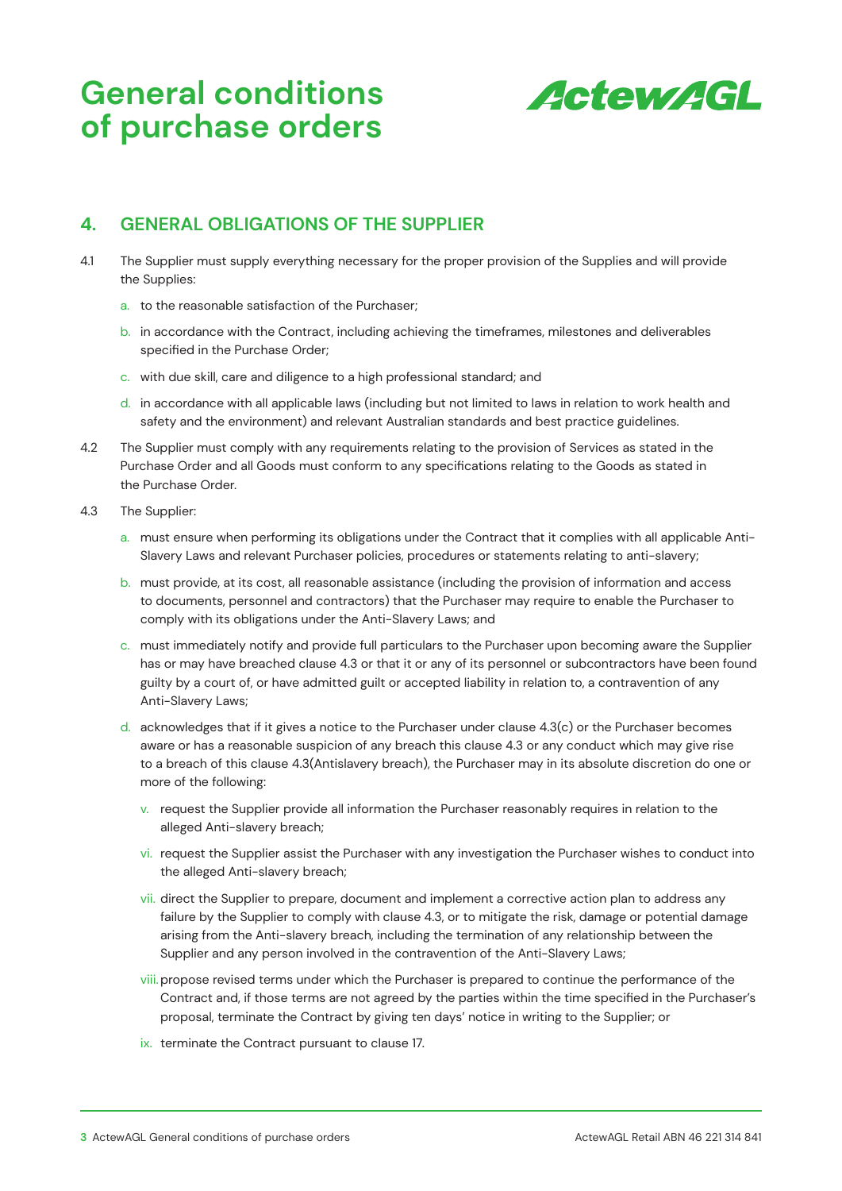

## **4. GENERAL OBLIGATIONS OF THE SUPPLIER**

- 4.1 The Supplier must supply everything necessary for the proper provision of the Supplies and will provide the Supplies:
	- a. to the reasonable satisfaction of the Purchaser;
	- b. in accordance with the Contract, including achieving the timeframes, milestones and deliverables specified in the Purchase Order;
	- c. with due skill, care and diligence to a high professional standard; and
	- d. in accordance with all applicable laws (including but not limited to laws in relation to work health and safety and the environment) and relevant Australian standards and best practice guidelines.
- 4.2 The Supplier must comply with any requirements relating to the provision of Services as stated in the Purchase Order and all Goods must conform to any specifications relating to the Goods as stated in the Purchase Order.
- 4.3 The Supplier:
	- a. must ensure when performing its obligations under the Contract that it complies with all applicable Anti-Slavery Laws and relevant Purchaser policies, procedures or statements relating to anti-slavery;
	- b. must provide, at its cost, all reasonable assistance (including the provision of information and access to documents, personnel and contractors) that the Purchaser may require to enable the Purchaser to comply with its obligations under the Anti-Slavery Laws; and
	- c. must immediately notify and provide full particulars to the Purchaser upon becoming aware the Supplier has or may have breached clause 4.3 or that it or any of its personnel or subcontractors have been found guilty by a court of, or have admitted guilt or accepted liability in relation to, a contravention of any Anti-Slavery Laws;
	- d. acknowledges that if it gives a notice to the Purchaser under clause 4.3(c) or the Purchaser becomes aware or has a reasonable suspicion of any breach this clause 4.3 or any conduct which may give rise to a breach of this clause 4.3(Antislavery breach), the Purchaser may in its absolute discretion do one or more of the following:
		- v. request the Supplier provide all information the Purchaser reasonably requires in relation to the alleged Anti-slavery breach;
		- vi. request the Supplier assist the Purchaser with any investigation the Purchaser wishes to conduct into the alleged Anti-slavery breach;
		- vii. direct the Supplier to prepare, document and implement a corrective action plan to address any failure by the Supplier to comply with clause 4.3, or to mitigate the risk, damage or potential damage arising from the Anti-slavery breach, including the termination of any relationship between the Supplier and any person involved in the contravention of the Anti-Slavery Laws;
		- viii.propose revised terms under which the Purchaser is prepared to continue the performance of the Contract and, if those terms are not agreed by the parties within the time specified in the Purchaser's proposal, terminate the Contract by giving ten days' notice in writing to the Supplier; or
		- ix. terminate the Contract pursuant to clause 17.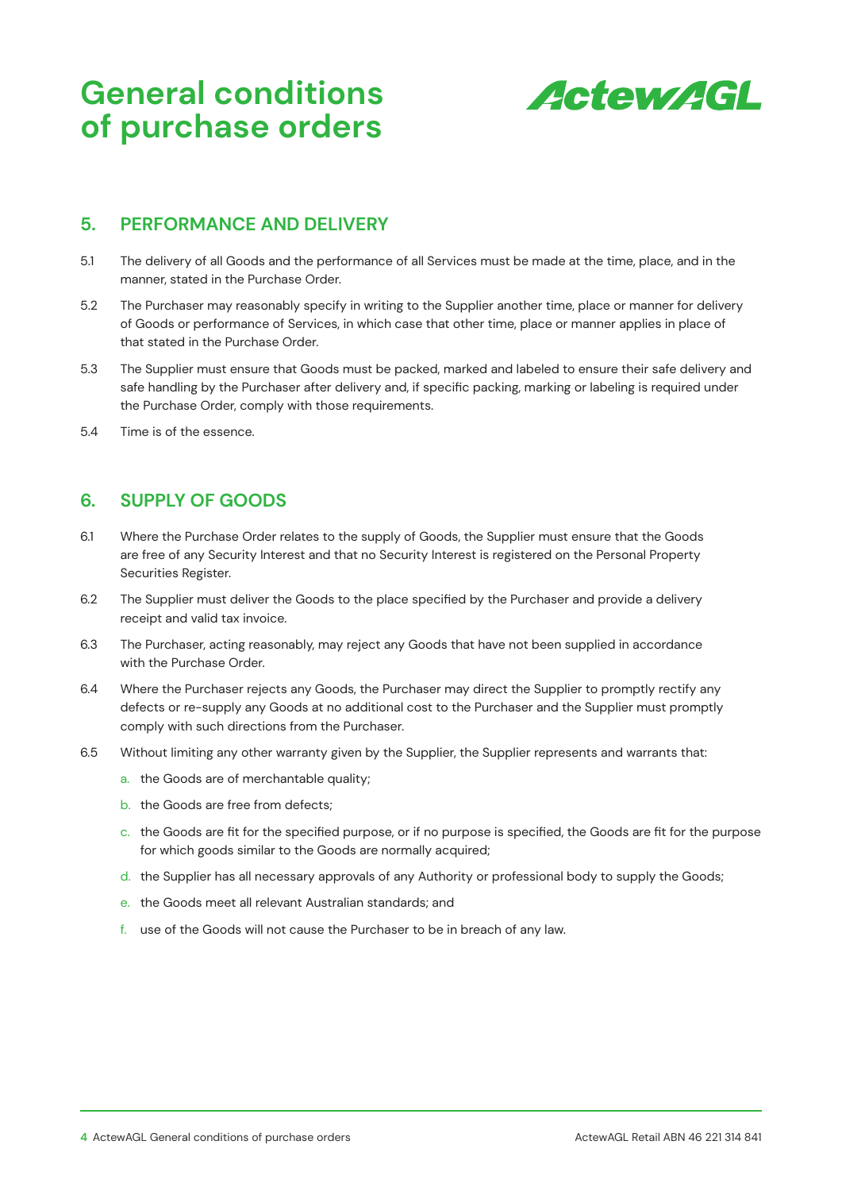

#### **5. PERFORMANCE AND DELIVERY**

- 5.1 The delivery of all Goods and the performance of all Services must be made at the time, place, and in the manner, stated in the Purchase Order.
- 5.2 The Purchaser may reasonably specify in writing to the Supplier another time, place or manner for delivery of Goods or performance of Services, in which case that other time, place or manner applies in place of that stated in the Purchase Order.
- 5.3 The Supplier must ensure that Goods must be packed, marked and labeled to ensure their safe delivery and safe handling by the Purchaser after delivery and, if specific packing, marking or labeling is required under the Purchase Order, comply with those requirements.
- 5.4 Time is of the essence.

# **6. SUPPLY OF GOODS**

- 6.1 Where the Purchase Order relates to the supply of Goods, the Supplier must ensure that the Goods are free of any Security Interest and that no Security Interest is registered on the Personal Property Securities Register.
- 6.2 The Supplier must deliver the Goods to the place specified by the Purchaser and provide a delivery receipt and valid tax invoice.
- 6.3 The Purchaser, acting reasonably, may reject any Goods that have not been supplied in accordance with the Purchase Order.
- 6.4 Where the Purchaser rejects any Goods, the Purchaser may direct the Supplier to promptly rectify any defects or re-supply any Goods at no additional cost to the Purchaser and the Supplier must promptly comply with such directions from the Purchaser.
- 6.5 Without limiting any other warranty given by the Supplier, the Supplier represents and warrants that:
	- a. the Goods are of merchantable quality;
	- b. the Goods are free from defects;
	- c. the Goods are fit for the specified purpose, or if no purpose is specified, the Goods are fit for the purpose for which goods similar to the Goods are normally acquired;
	- d. the Supplier has all necessary approvals of any Authority or professional body to supply the Goods;
	- e. the Goods meet all relevant Australian standards; and
	- f. use of the Goods will not cause the Purchaser to be in breach of any law.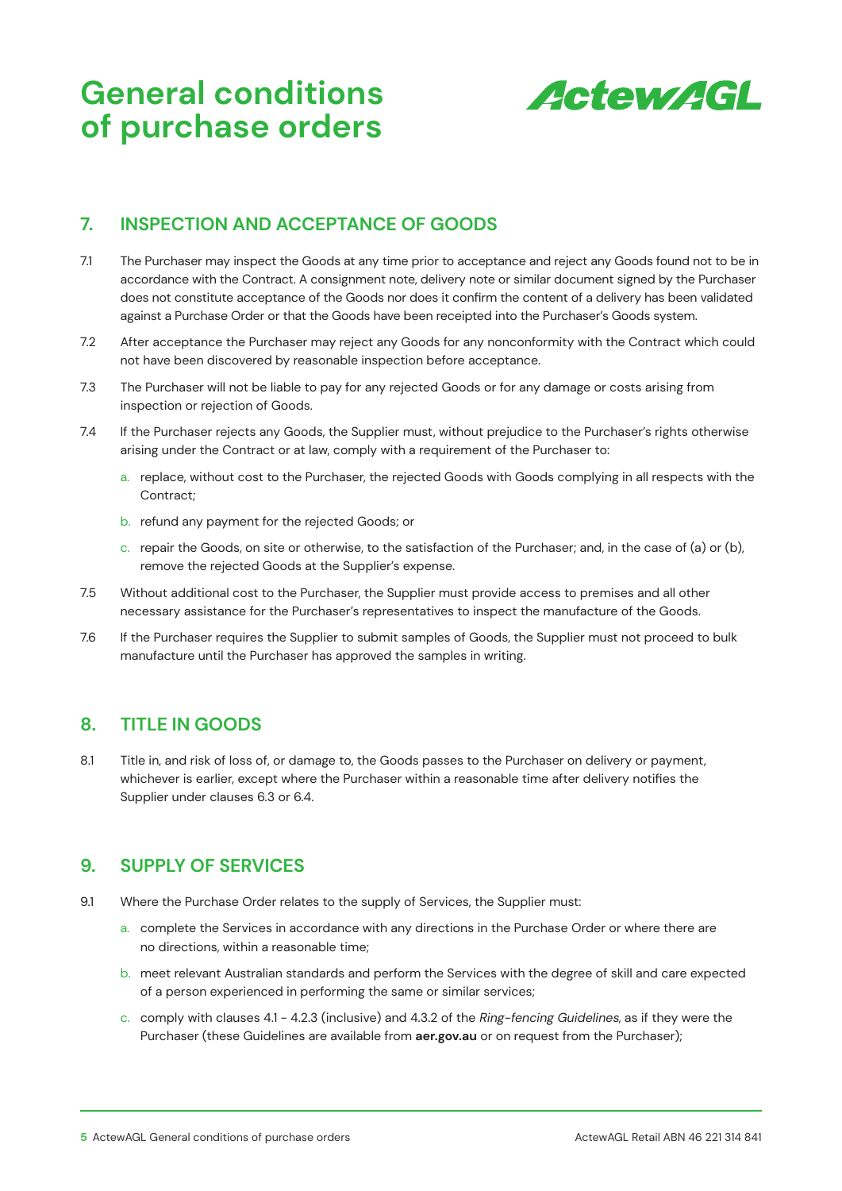

### **7. INSPECTION AND ACCEPTANCE OF GOODS**

- 7.1 The Purchaser may inspect the Goods at any time prior to acceptance and reject any Goods found not to be in accordance with the Contract. A consignment note, delivery note or similar document signed by the Purchaser does not constitute acceptance of the Goods nor does it confirm the content of a delivery has been validated against a Purchase Order or that the Goods have been receipted into the Purchaser's Goods system.
- 7.2 After acceptance the Purchaser may reject any Goods for any nonconformity with the Contract which could not have been discovered by reasonable inspection before acceptance.
- 7.3 The Purchaser will not be liable to pay for any rejected Goods or for any damage or costs arising from inspection or rejection of Goods.
- 7.4 If the Purchaser rejects any Goods, the Supplier must, without prejudice to the Purchaser's rights otherwise arising under the Contract or at law, comply with a requirement of the Purchaser to:
	- a. replace, without cost to the Purchaser, the rejected Goods with Goods complying in all respects with the Contract;
	- b. refund any payment for the rejected Goods; or
	- c. repair the Goods, on site or otherwise, to the satisfaction of the Purchaser; and, in the case of (a) or (b), remove the rejected Goods at the Supplier's expense.
- 7.5 Without additional cost to the Purchaser, the Supplier must provide access to premises and all other necessary assistance for the Purchaser's representatives to inspect the manufacture of the Goods.
- 7.6 If the Purchaser requires the Supplier to submit samples of Goods, the Supplier must not proceed to bulk manufacture until the Purchaser has approved the samples in writing.

### **8. TITLE IN GOODS**

8.1 Title in, and risk of loss of, or damage to, the Goods passes to the Purchaser on delivery or payment, whichever is earlier, except where the Purchaser within a reasonable time after delivery notifies the Supplier under clauses 6.3 or 6.4.

### **9. SUPPLY OF SERVICES**

- 9.1 Where the Purchase Order relates to the supply of Services, the Supplier must:
	- a. complete the Services in accordance with any directions in the Purchase Order or where there are no directions, within a reasonable time;
	- b. meet relevant Australian standards and perform the Services with the degree of skill and care expected of a person experienced in performing the same or similar services;
	- c. comply with clauses 4.1 4.2.3 (inclusive) and 4.3.2 of the Ring-fencing Guidelines, as if they were the Purchaser (these Guidelines are available from **aer.gov.au** or on request from the Purchaser);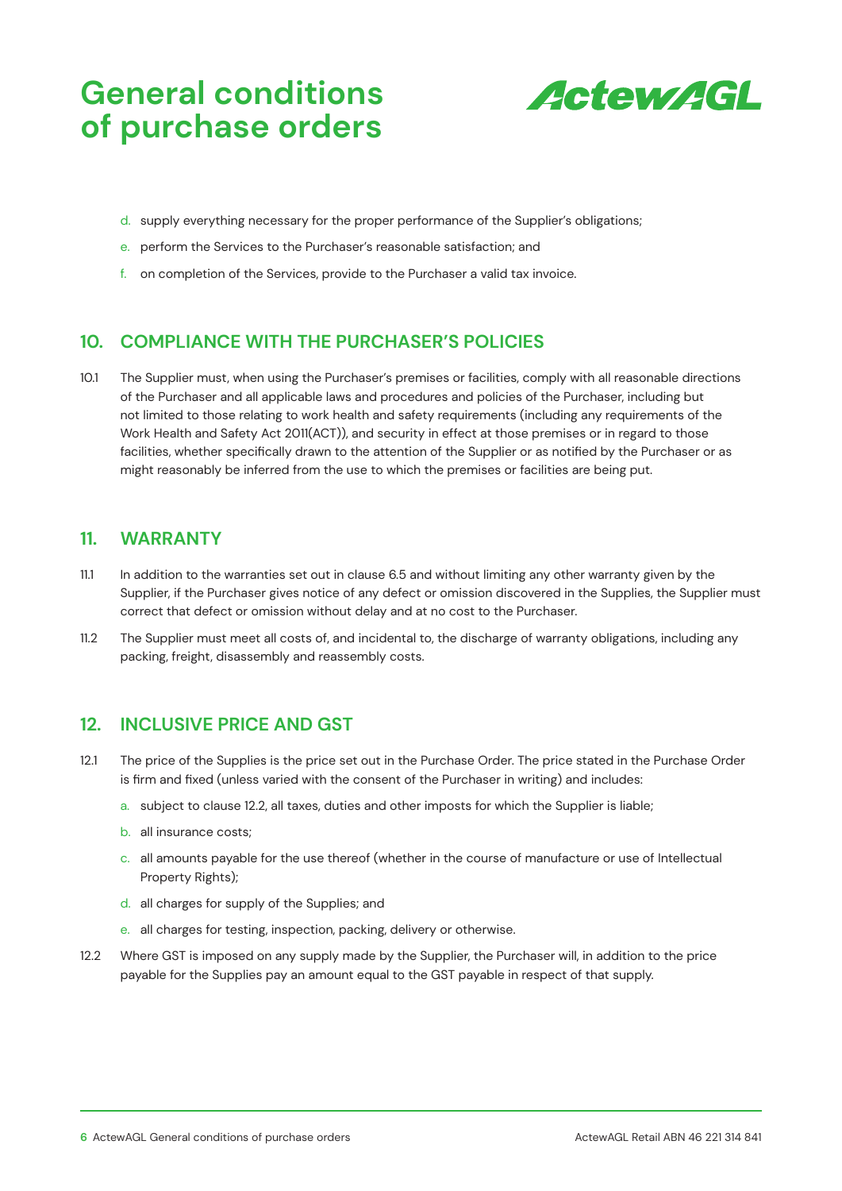

- d. supply everything necessary for the proper performance of the Supplier's obligations;
- e. perform the Services to the Purchaser's reasonable satisfaction; and
- f. on completion of the Services, provide to the Purchaser a valid tax invoice.

### **10. COMPLIANCE WITH THE PURCHASER'S POLICIES**

10.1 The Supplier must, when using the Purchaser's premises or facilities, comply with all reasonable directions of the Purchaser and all applicable laws and procedures and policies of the Purchaser, including but not limited to those relating to work health and safety requirements (including any requirements of the Work Health and Safety Act 2011(ACT)), and security in effect at those premises or in regard to those facilities, whether specifically drawn to the attention of the Supplier or as notified by the Purchaser or as might reasonably be inferred from the use to which the premises or facilities are being put.

#### **11. WARRANTY**

- 11.1 In addition to the warranties set out in clause 6.5 and without limiting any other warranty given by the Supplier, if the Purchaser gives notice of any defect or omission discovered in the Supplies, the Supplier must correct that defect or omission without delay and at no cost to the Purchaser.
- 11.2 The Supplier must meet all costs of, and incidental to, the discharge of warranty obligations, including any packing, freight, disassembly and reassembly costs.

#### **12. INCLUSIVE PRICE AND GST**

- 12.1 The price of the Supplies is the price set out in the Purchase Order. The price stated in the Purchase Order is firm and fixed (unless varied with the consent of the Purchaser in writing) and includes:
	- a. subject to clause 12.2, all taxes, duties and other imposts for which the Supplier is liable;
	- b. all insurance costs;
	- c. all amounts payable for the use thereof (whether in the course of manufacture or use of Intellectual Property Rights);
	- d. all charges for supply of the Supplies; and
	- e. all charges for testing, inspection, packing, delivery or otherwise.
- 12.2 Where GST is imposed on any supply made by the Supplier, the Purchaser will, in addition to the price payable for the Supplies pay an amount equal to the GST payable in respect of that supply.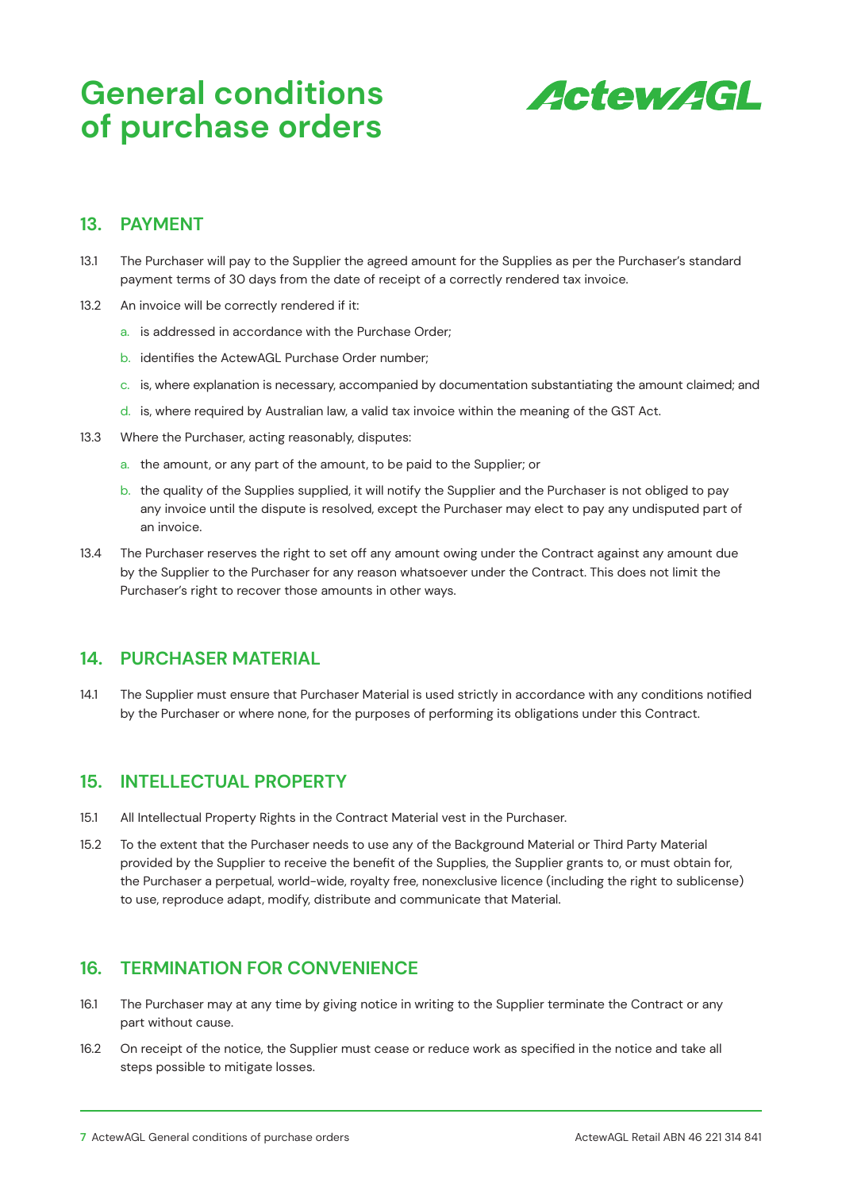

#### **13. PAYMENT**

- 13.1 The Purchaser will pay to the Supplier the agreed amount for the Supplies as per the Purchaser's standard payment terms of 30 days from the date of receipt of a correctly rendered tax invoice.
- 13.2 An invoice will be correctly rendered if it:
	- a. is addressed in accordance with the Purchase Order;
	- b. identifies the ActewAGL Purchase Order number;
	- c. is, where explanation is necessary, accompanied by documentation substantiating the amount claimed; and
	- d. is, where required by Australian law, a valid tax invoice within the meaning of the GST Act.
- 13.3 Where the Purchaser, acting reasonably, disputes:
	- a. the amount, or any part of the amount, to be paid to the Supplier; or
	- b. the quality of the Supplies supplied, it will notify the Supplier and the Purchaser is not obliged to pay any invoice until the dispute is resolved, except the Purchaser may elect to pay any undisputed part of an invoice.
- 13.4 The Purchaser reserves the right to set off any amount owing under the Contract against any amount due by the Supplier to the Purchaser for any reason whatsoever under the Contract. This does not limit the Purchaser's right to recover those amounts in other ways.

#### **14. PURCHASER MATERIAL**

14.1 The Supplier must ensure that Purchaser Material is used strictly in accordance with any conditions notified by the Purchaser or where none, for the purposes of performing its obligations under this Contract.

#### **15. INTELLECTUAL PROPERTY**

- 15.1 All Intellectual Property Rights in the Contract Material vest in the Purchaser.
- 15.2 To the extent that the Purchaser needs to use any of the Background Material or Third Party Material provided by the Supplier to receive the benefit of the Supplies, the Supplier grants to, or must obtain for, the Purchaser a perpetual, world-wide, royalty free, nonexclusive licence (including the right to sublicense) to use, reproduce adapt, modify, distribute and communicate that Material.

#### **16. TERMINATION FOR CONVENIENCE**

- 16.1 The Purchaser may at any time by giving notice in writing to the Supplier terminate the Contract or any part without cause.
- 16.2 On receipt of the notice, the Supplier must cease or reduce work as specified in the notice and take all steps possible to mitigate losses.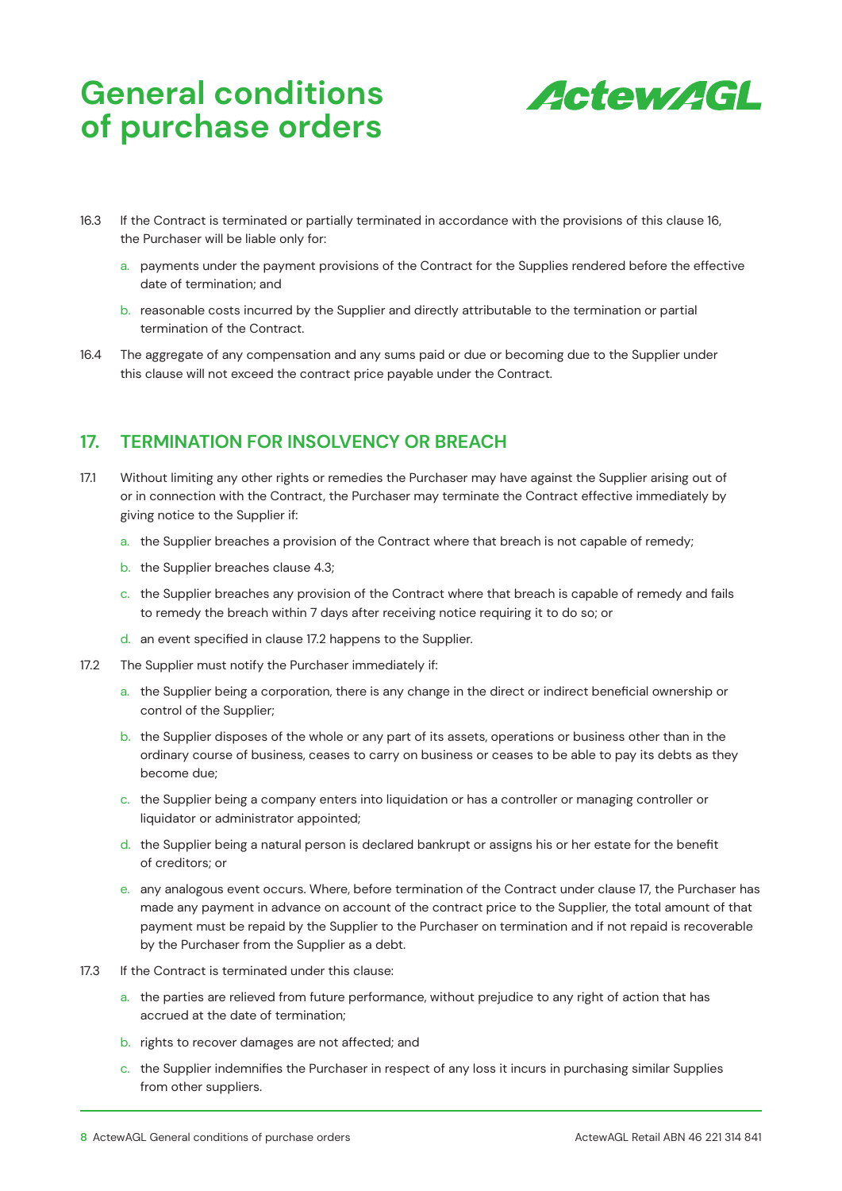

- 16.3 If the Contract is terminated or partially terminated in accordance with the provisions of this clause 16, the Purchaser will be liable only for:
	- a. payments under the payment provisions of the Contract for the Supplies rendered before the effective date of termination; and
	- b. reasonable costs incurred by the Supplier and directly attributable to the termination or partial termination of the Contract.
- 16.4 The aggregate of any compensation and any sums paid or due or becoming due to the Supplier under this clause will not exceed the contract price payable under the Contract.

# **17. TERMINATION FOR INSOLVENCY OR BREACH**

- 17.1 Without limiting any other rights or remedies the Purchaser may have against the Supplier arising out of or in connection with the Contract, the Purchaser may terminate the Contract effective immediately by giving notice to the Supplier if:
	- a. the Supplier breaches a provision of the Contract where that breach is not capable of remedy;
	- b. the Supplier breaches clause 4.3;
	- c. the Supplier breaches any provision of the Contract where that breach is capable of remedy and fails to remedy the breach within 7 days after receiving notice requiring it to do so; or
	- d. an event specified in clause 17.2 happens to the Supplier.
- 17.2 The Supplier must notify the Purchaser immediately if:
	- a. the Supplier being a corporation, there is any change in the direct or indirect beneficial ownership or control of the Supplier;
	- b. the Supplier disposes of the whole or any part of its assets, operations or business other than in the ordinary course of business, ceases to carry on business or ceases to be able to pay its debts as they become due;
	- c. the Supplier being a company enters into liquidation or has a controller or managing controller or liquidator or administrator appointed;
	- d. the Supplier being a natural person is declared bankrupt or assigns his or her estate for the benefit of creditors; or
	- e. any analogous event occurs. Where, before termination of the Contract under clause 17, the Purchaser has made any payment in advance on account of the contract price to the Supplier, the total amount of that payment must be repaid by the Supplier to the Purchaser on termination and if not repaid is recoverable by the Purchaser from the Supplier as a debt.
- 17.3 If the Contract is terminated under this clause:
	- a. the parties are relieved from future performance, without prejudice to any right of action that has accrued at the date of termination;
	- b. rights to recover damages are not affected; and
	- c. the Supplier indemnifies the Purchaser in respect of any loss it incurs in purchasing similar Supplies from other suppliers.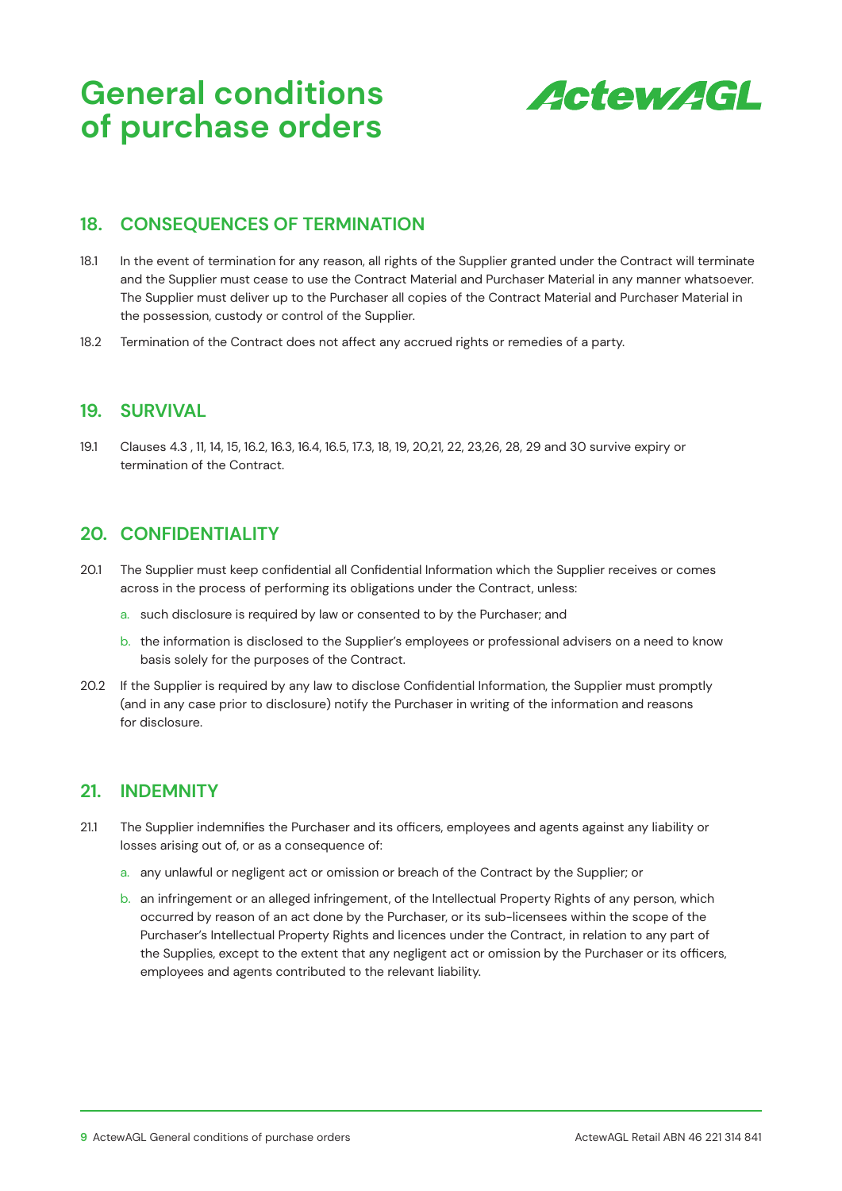

### **18. CONSEQUENCES OF TERMINATION**

- 18.1 In the event of termination for any reason, all rights of the Supplier granted under the Contract will terminate and the Supplier must cease to use the Contract Material and Purchaser Material in any manner whatsoever. The Supplier must deliver up to the Purchaser all copies of the Contract Material and Purchaser Material in the possession, custody or control of the Supplier.
- 18.2 Termination of the Contract does not affect any accrued rights or remedies of a party.

#### **19. SURVIVAL**

19.1 Clauses 4.3 , 11, 14, 15, 16.2, 16.3, 16.4, 16.5, 17.3, 18, 19, 20,21, 22, 23,26, 28, 29 and 30 survive expiry or termination of the Contract.

### **20. CONFIDENTIALITY**

- 20.1 The Supplier must keep confidential all Confidential Information which the Supplier receives or comes across in the process of performing its obligations under the Contract, unless:
	- a. such disclosure is required by law or consented to by the Purchaser; and
	- b. the information is disclosed to the Supplier's employees or professional advisers on a need to know basis solely for the purposes of the Contract.
- 20.2 If the Supplier is required by any law to disclose Confidential Information, the Supplier must promptly (and in any case prior to disclosure) notify the Purchaser in writing of the information and reasons for disclosure.

#### **21. INDEMNITY**

- 21.1 The Supplier indemnifies the Purchaser and its officers, employees and agents against any liability or losses arising out of, or as a consequence of:
	- a. any unlawful or negligent act or omission or breach of the Contract by the Supplier; or
	- b. an infringement or an alleged infringement, of the Intellectual Property Rights of any person, which occurred by reason of an act done by the Purchaser, or its sub-licensees within the scope of the Purchaser's Intellectual Property Rights and licences under the Contract, in relation to any part of the Supplies, except to the extent that any negligent act or omission by the Purchaser or its officers, employees and agents contributed to the relevant liability.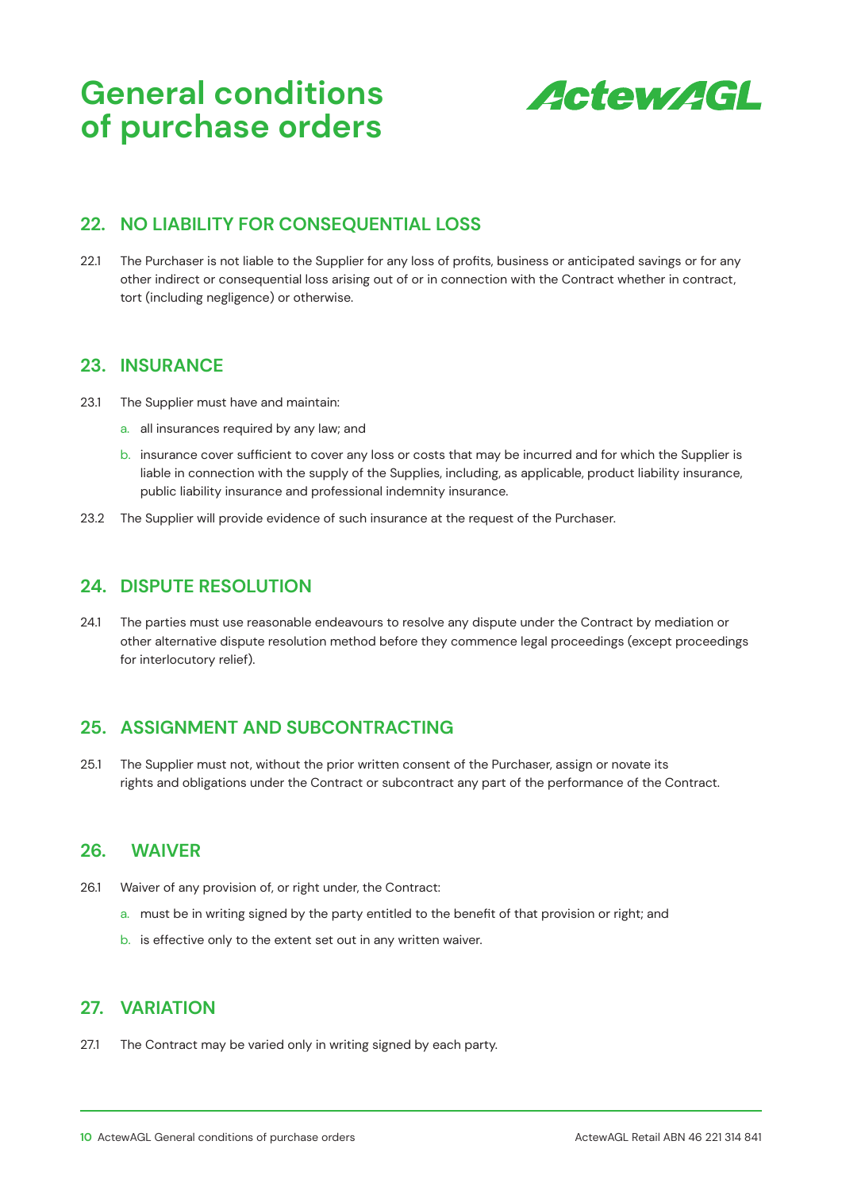

## **22. NO LIABILITY FOR CONSEQUENTIAL LOSS**

22.1 The Purchaser is not liable to the Supplier for any loss of profits, business or anticipated savings or for any other indirect or consequential loss arising out of or in connection with the Contract whether in contract, tort (including negligence) or otherwise.

#### **23. INSURANCE**

- 23.1 The Supplier must have and maintain:
	- a. all insurances required by any law; and
	- b. insurance cover sufficient to cover any loss or costs that may be incurred and for which the Supplier is liable in connection with the supply of the Supplies, including, as applicable, product liability insurance, public liability insurance and professional indemnity insurance.
- 23.2 The Supplier will provide evidence of such insurance at the request of the Purchaser.

#### **24. DISPUTE RESOLUTION**

24.1 The parties must use reasonable endeavours to resolve any dispute under the Contract by mediation or other alternative dispute resolution method before they commence legal proceedings (except proceedings for interlocutory relief).

### **25. ASSIGNMENT AND SUBCONTRACTING**

25.1 The Supplier must not, without the prior written consent of the Purchaser, assign or novate its rights and obligations under the Contract or subcontract any part of the performance of the Contract.

### **26. WAIVER**

- 26.1 Waiver of any provision of, or right under, the Contract:
	- a. must be in writing signed by the party entitled to the benefit of that provision or right; and
	- b. is effective only to the extent set out in any written waiver.

#### **27. VARIATION**

27.1 The Contract may be varied only in writing signed by each party.